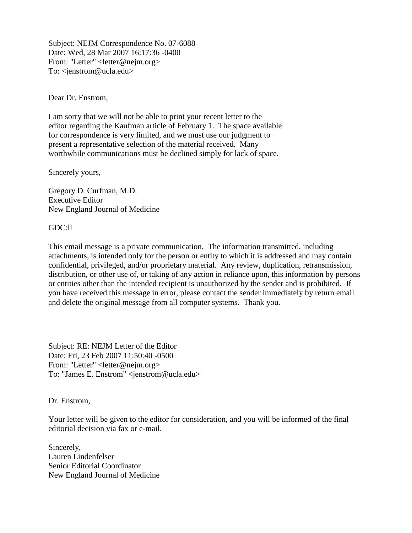Subject: NEJM Correspondence No. 07-6088 Date: Wed, 28 Mar 2007 16:17:36 -0400 From: "Letter" <letter@nejm.org> To: <*jenstrom@ucla.edu>* 

Dear Dr. Enstrom,

I am sorry that we will not be able to print your recent letter to the editor regarding the Kaufman article of February 1. The space available for correspondence is very limited, and we must use our judgment to present a representative selection of the material received. Many worthwhile communications must be declined simply for lack of space.

Sincerely yours,

Gregory D. Curfman, M.D. Executive Editor New England Journal of Medicine

GDC:ll

This email message is a private communication. The information transmitted, including attachments, is intended only for the person or entity to which it is addressed and may contain confidential, privileged, and/or proprietary material. Any review, duplication, retransmission, distribution, or other use of, or taking of any action in reliance upon, this information by persons or entities other than the intended recipient is unauthorized by the sender and is prohibited. If you have received this message in error, please contact the sender immediately by return email and delete the original message from all computer systems. Thank you.

Subject: RE: NEJM Letter of the Editor Date: Fri, 23 Feb 2007 11:50:40 -0500 From: "Letter" <letter@nejm.org> To: "James E. Enstrom" <jenstrom@ucla.edu>

Dr. Enstrom,

Your letter will be given to the editor for consideration, and you will be informed of the final editorial decision via fax or e-mail.

Sincerely, Lauren Lindenfelser Senior Editorial Coordinator New England Journal of Medicine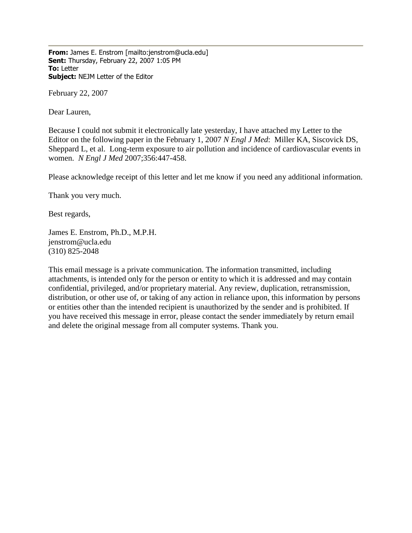**From:** James E. Enstrom [mailto:jenstrom@ucla.edu] **Sent:** Thursday, February 22, 2007 1:05 PM **To:** Letter **Subject:** NEJM Letter of the Editor

February 22, 2007

Dear Lauren,

Because I could not submit it electronically late yesterday, I have attached my Letter to the Editor on the following paper in the February 1, 2007 *N Engl J Med*: Miller KA, Siscovick DS, Sheppard L, et al. Long-term exposure to air pollution and incidence of cardiovascular events in women. *N Engl J Med* 2007;356:447-458.

Please acknowledge receipt of this letter and let me know if you need any additional information.

Thank you very much.

Best regards,

James E. Enstrom, Ph.D., M.P.H. jenstrom@ucla.edu (310) 825-2048

This email message is a private communication. The information transmitted, including attachments, is intended only for the person or entity to which it is addressed and may contain confidential, privileged, and/or proprietary material. Any review, duplication, retransmission, distribution, or other use of, or taking of any action in reliance upon, this information by persons or entities other than the intended recipient is unauthorized by the sender and is prohibited. If you have received this message in error, please contact the sender immediately by return email and delete the original message from all computer systems. Thank you.